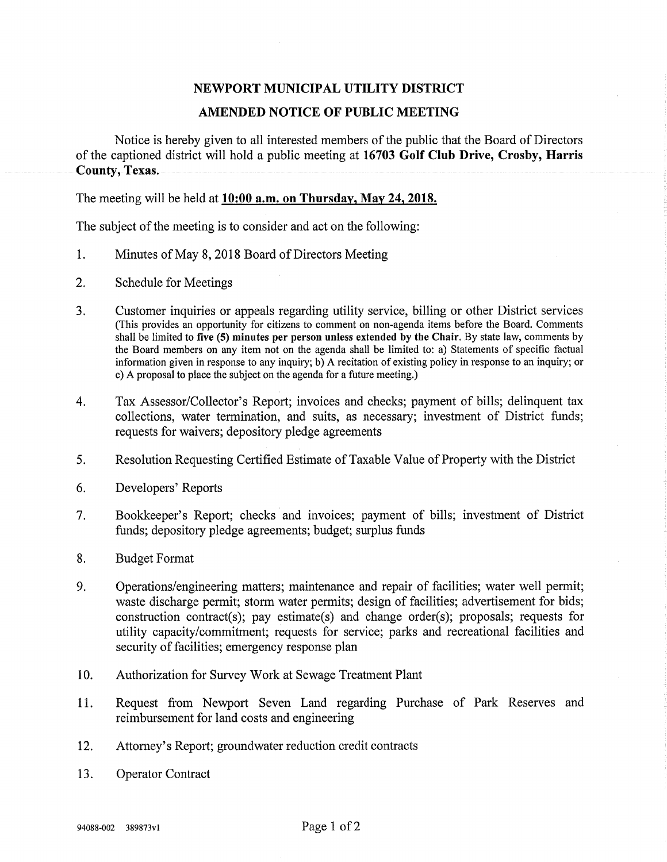## NEWPORT MUNICIPAL UTILITY DISTRICT

## AMENDED NOTICE OF PUBLIC MEETING

Notice is hereby given to all interested members of the public that the Board of Directors of the captioned district will hold a public meeting at 16703 Golf Club Drive, Crosby, Harris County, Texas.

The meeting will be held at 10:00 a.m. on Thursday, May 24, 2018.

The subject of the meeting is to consider and act on the following:

- 1. Minutes of May 8,2018 Board of Directors Meeting
- 2. Schedule for Meetings
- 3. Customer inquiries or appeals regarding utility service, billing or other District services (This provides an opportunity for citizens to comment on non-agenda items before the Board. Comments shall be limited to five (5) minutes per person unless extended by the Chair. By state law, comments by the Board members on any item not on the agenda shall be limited to: a) Statements of specific factual mformation given in response to any inquiry; b) A recitation of existing policy in response to an inquiry; or c) A proposal to place the subject on the agenda for a future meeting.)
- 4. Tax Assessor/Collector's Report; invoices and checks; payment of bills; delinquent tax collections, water termination, and suits, as necessary; investment of District funds; requests for waivers; depository pledge agreements
- 5. Resolution Requesting Certified Estimate of Taxable Value of Property with the District
- 6. Developers' Reports
- 7. Bookkeeper's Report; checks and invoices; payment of bills; investment of District funds; depository pledge agreements; budget; surplus funds
- 8. Budget Format
- 9. Operations/engineering matters; maintenance and repair of facilities; water well permit; waste discharge permit; storm water permits; design of facilities; advertisement for bids; construction contract(s); pay estimate(s) and change order(s); proposals; requests for utility capacity/commitment; requests for service; parks and recreational facilities and security of facilities; emergency response plan
- 10. Authorization for Survey Work at Sewage Treatment Plant
- 11. Request from Newport Seven Land regarding Purchase of Park Reserves and reimbursement for land costs and engineering
- 12. Attorney's Report; groundwater reduction credit contracts
- 13. Operator Contract